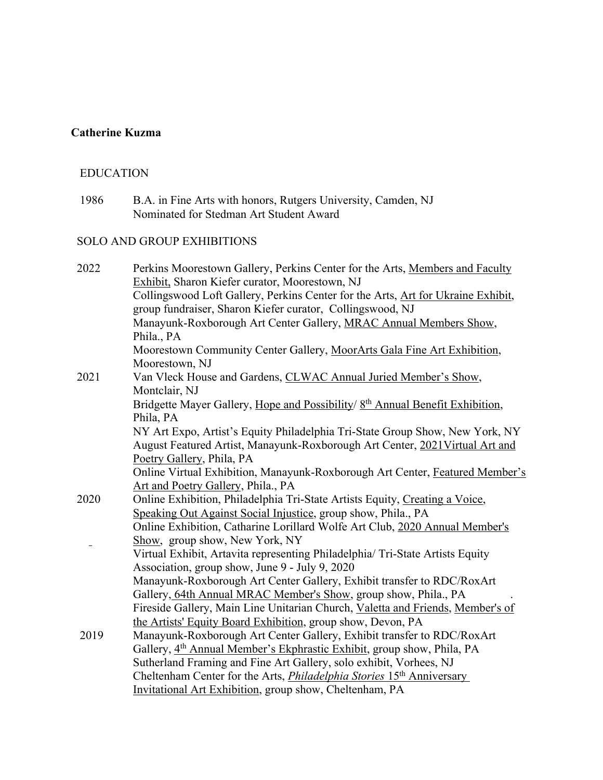# **Catherine Kuzma**

#### EDUCATION

 1986 B.A. in Fine Arts with honors, Rutgers University, Camden, NJ Nominated for Stedman Art Student Award

## SOLO AND GROUP EXHIBITIONS

| 2022 | Perkins Moorestown Gallery, Perkins Center for the Arts, Members and Faculty              |
|------|-------------------------------------------------------------------------------------------|
|      | Exhibit, Sharon Kiefer curator, Moorestown, NJ                                            |
|      | Collingswood Loft Gallery, Perkins Center for the Arts, Art for Ukraine Exhibit,          |
|      | group fundraiser, Sharon Kiefer curator, Collingswood, NJ                                 |
|      | Manayunk-Roxborough Art Center Gallery, MRAC Annual Members Show,                         |
|      | Phila., PA                                                                                |
|      | Moorestown Community Center Gallery, MoorArts Gala Fine Art Exhibition,                   |
|      | Moorestown, NJ                                                                            |
| 2021 | Van Vleck House and Gardens, CLWAC Annual Juried Member's Show,                           |
|      | Montclair, NJ                                                                             |
|      | Bridgette Mayer Gallery, Hope and Possibility/ 8 <sup>th</sup> Annual Benefit Exhibition, |
|      | Phila, PA                                                                                 |
|      | NY Art Expo, Artist's Equity Philadelphia Tri-State Group Show, New York, NY              |
|      | August Featured Artist, Manayunk-Roxborough Art Center, 2021 Virtual Art and              |
|      | Poetry Gallery, Phila, PA                                                                 |
|      | Online Virtual Exhibition, Manayunk-Roxborough Art Center, Featured Member's              |
|      | Art and Poetry Gallery, Phila., PA                                                        |
| 2020 | Online Exhibition, Philadelphia Tri-State Artists Equity, Creating a Voice,               |
|      | Speaking Out Against Social Injustice, group show, Phila., PA                             |
|      | Online Exhibition, Catharine Lorillard Wolfe Art Club, 2020 Annual Member's               |
|      | Show, group show, New York, NY                                                            |
|      | Virtual Exhibit, Artavita representing Philadelphia/ Tri-State Artists Equity             |
|      | Association, group show, June 9 - July 9, 2020                                            |
|      | Manayunk-Roxborough Art Center Gallery, Exhibit transfer to RDC/RoxArt                    |
|      | Gallery, 64th Annual MRAC Member's Show, group show, Phila., PA                           |
|      | Fireside Gallery, Main Line Unitarian Church, Valetta and Friends, Member's of            |
|      | the Artists' Equity Board Exhibition, group show, Devon, PA                               |
| 2019 | Manayunk-Roxborough Art Center Gallery, Exhibit transfer to RDC/RoxArt                    |
|      | Gallery, 4 <sup>th</sup> Annual Member's Ekphrastic Exhibit, group show, Phila, PA        |
|      | Sutherland Framing and Fine Art Gallery, solo exhibit, Vorhees, NJ                        |
|      | Cheltenham Center for the Arts, <i>Philadelphia Stories</i> 15 <sup>th</sup> Anniversary  |
|      | Invitational Art Exhibition, group show, Cheltenham, PA                                   |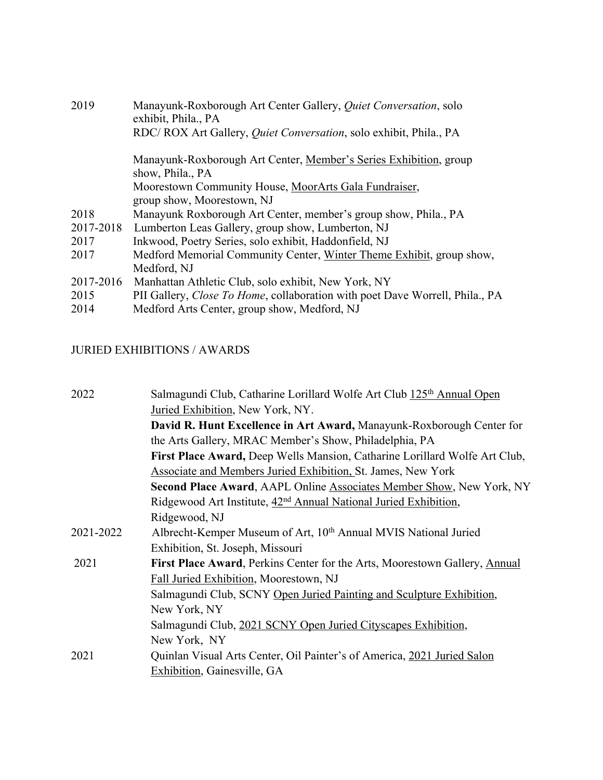| 2019      | Manayunk-Roxborough Art Center Gallery, Quiet Conversation, solo<br>exhibit, Phila., PA |
|-----------|-----------------------------------------------------------------------------------------|
|           | RDC/ROX Art Gallery, <i>Quiet Conversation</i> , solo exhibit, Phila., PA               |
|           | Manayunk-Roxborough Art Center, Member's Series Exhibition, group<br>show, Phila., PA   |
|           | Moorestown Community House, MoorArts Gala Fundraiser,                                   |
|           | group show, Moorestown, NJ                                                              |
| 2018      | Manayunk Roxborough Art Center, member's group show, Phila., PA                         |
| 2017-2018 | Lumberton Leas Gallery, group show, Lumberton, NJ                                       |
| 2017      | Inkwood, Poetry Series, solo exhibit, Haddonfield, NJ                                   |
| 2017      | Medford Memorial Community Center, Winter Theme Exhibit, group show,                    |
|           | Medford, NJ                                                                             |
| 2017-2016 | Manhattan Athletic Club, solo exhibit, New York, NY                                     |
| 2015      | PII Gallery, <i>Close To Home</i> , collaboration with poet Dave Worrell, Phila., PA    |
| 2014      | Medford Arts Center, group show, Medford, NJ                                            |
|           |                                                                                         |

## JURIED EXHIBITIONS / AWARDS

| 2022      | Salmagundi Club, Catharine Lorillard Wolfe Art Club 125 <sup>th</sup> Annual Open |
|-----------|-----------------------------------------------------------------------------------|
|           | Juried Exhibition, New York, NY.                                                  |
|           | David R. Hunt Excellence in Art Award, Manayunk-Roxborough Center for             |
|           | the Arts Gallery, MRAC Member's Show, Philadelphia, PA                            |
|           | First Place Award, Deep Wells Mansion, Catharine Lorillard Wolfe Art Club,        |
|           | <b>Associate and Members Juried Exhibition, St. James, New York</b>               |
|           | <b>Second Place Award, AAPL Online Associates Member Show, New York, NY</b>       |
|           | Ridgewood Art Institute, 42 <sup>nd</sup> Annual National Juried Exhibition,      |
|           | Ridgewood, NJ                                                                     |
| 2021-2022 | Albrecht-Kemper Museum of Art, 10th Annual MVIS National Juried                   |
|           | Exhibition, St. Joseph, Missouri                                                  |
| 2021      | <b>First Place Award, Perkins Center for the Arts, Moorestown Gallery, Annual</b> |
|           | Fall Juried Exhibition, Moorestown, NJ                                            |
|           | Salmagundi Club, SCNY Open Juried Painting and Sculpture Exhibition,              |
|           | New York, NY                                                                      |
|           | Salmagundi Club, 2021 SCNY Open Juried Cityscapes Exhibition,                     |
|           | New York, NY                                                                      |
| 2021      | Quinlan Visual Arts Center, Oil Painter's of America, 2021 Juried Salon           |
|           | Exhibition, Gainesville, GA                                                       |
|           |                                                                                   |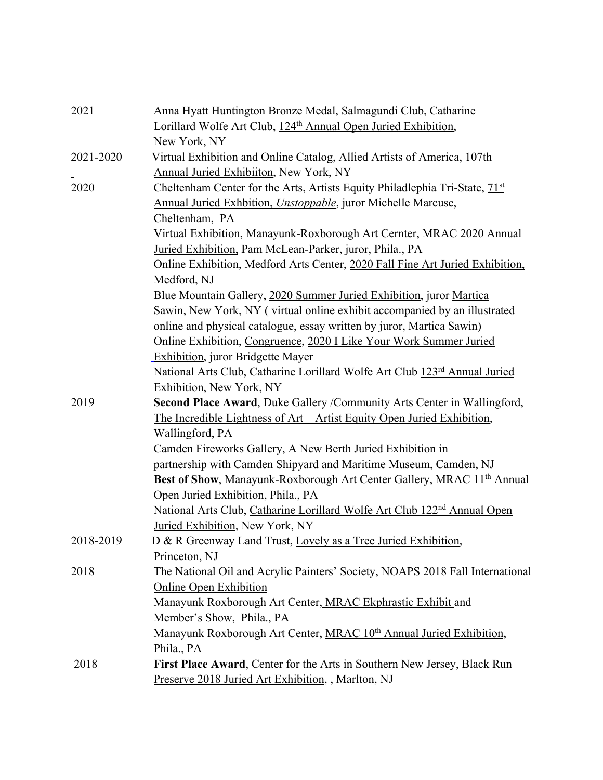| 2021      | Anna Hyatt Huntington Bronze Medal, Salmagundi Club, Catharine                       |
|-----------|--------------------------------------------------------------------------------------|
|           | Lorillard Wolfe Art Club, 124 <sup>th</sup> Annual Open Juried Exhibition,           |
|           | New York, NY                                                                         |
| 2021-2020 | Virtual Exhibition and Online Catalog, Allied Artists of America, 107th              |
|           | Annual Juried Exhibiiton, New York, NY                                               |
| 2020      | Cheltenham Center for the Arts, Artists Equity Philadlephia Tri-State, 71st          |
|           | Annual Juried Exhbition, Unstoppable, juror Michelle Marcuse,                        |
|           | Cheltenham, PA                                                                       |
|           | Virtual Exhibition, Manayunk-Roxborough Art Cernter, MRAC 2020 Annual                |
|           | Juried Exhibition, Pam McLean-Parker, juror, Phila., PA                              |
|           | Online Exhibition, Medford Arts Center, 2020 Fall Fine Art Juried Exhibition,        |
|           | Medford, NJ                                                                          |
|           | Blue Mountain Gallery, 2020 Summer Juried Exhibition, juror Martica                  |
|           | Sawin, New York, NY (virtual online exhibit accompanied by an illustrated            |
|           | online and physical catalogue, essay written by juror, Martica Sawin)                |
|           | Online Exhibition, Congruence, 2020 I Like Your Work Summer Juried                   |
|           | <b>Exhibition, juror Bridgette Mayer</b>                                             |
|           | National Arts Club, Catharine Lorillard Wolfe Art Club 123rd Annual Juried           |
|           | <b>Exhibition, New York, NY</b>                                                      |
| 2019      | Second Place Award, Duke Gallery / Community Arts Center in Wallingford,             |
|           | The Incredible Lightness of Art - Artist Equity Open Juried Exhibition,              |
|           | Wallingford, PA                                                                      |
|           | Camden Fireworks Gallery, A New Berth Juried Exhibition in                           |
|           | partnership with Camden Shipyard and Maritime Museum, Camden, NJ                     |
|           | Best of Show, Manayunk-Roxborough Art Center Gallery, MRAC 11 <sup>th</sup> Annual   |
|           | Open Juried Exhibition, Phila., PA                                                   |
|           | National Arts Club, Catharine Lorillard Wolfe Art Club 122 <sup>nd</sup> Annual Open |
|           | Juried Exhibition, New York, NY                                                      |
| 2018-2019 | D & R Greenway Land Trust, Lovely as a Tree Juried Exhibition,                       |
|           | Princeton, NJ                                                                        |
| 2018      | The National Oil and Acrylic Painters' Society, NOAPS 2018 Fall International        |
|           | Online Open Exhibition                                                               |
|           | Manayunk Roxborough Art Center, MRAC Ekphrastic Exhibit and                          |
|           | Member's Show, Phila., PA                                                            |
|           | Manayunk Roxborough Art Center, MRAC 10 <sup>th</sup> Annual Juried Exhibition,      |
|           | Phila., PA                                                                           |
| 2018      | First Place Award, Center for the Arts in Southern New Jersey, Black Run             |
|           | Preserve 2018 Juried Art Exhibition, , Marlton, NJ                                   |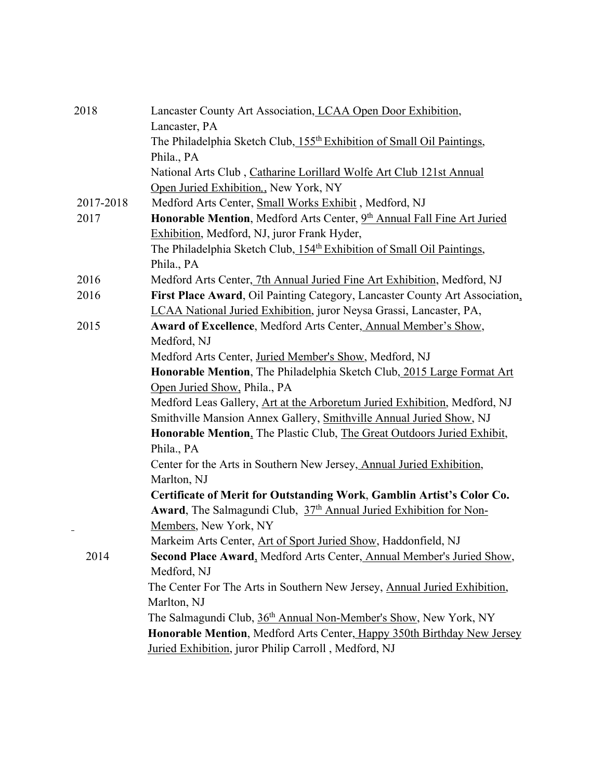| 2018      | Lancaster County Art Association, LCAA Open Door Exhibition,                       |
|-----------|------------------------------------------------------------------------------------|
|           | Lancaster, PA                                                                      |
|           | The Philadelphia Sketch Club, 155 <sup>th</sup> Exhibition of Small Oil Paintings, |
|           | Phila., PA                                                                         |
|           | National Arts Club, Catharine Lorillard Wolfe Art Club 121st Annual                |
|           | Open Juried Exhibition,, New York, NY                                              |
| 2017-2018 | Medford Arts Center, Small Works Exhibit, Medford, NJ                              |
| 2017      | Honorable Mention, Medford Arts Center, 9th Annual Fall Fine Art Juried            |
|           | Exhibition, Medford, NJ, juror Frank Hyder,                                        |
|           | The Philadelphia Sketch Club, 154 <sup>th</sup> Exhibition of Small Oil Paintings, |
|           | Phila., PA                                                                         |
| 2016      | Medford Arts Center, 7th Annual Juried Fine Art Exhibition, Medford, NJ            |
| 2016      | First Place Award, Oil Painting Category, Lancaster County Art Association,        |
|           | LCAA National Juried Exhibition, juror Neysa Grassi, Lancaster, PA,                |
| 2015      | Award of Excellence, Medford Arts Center, Annual Member's Show,                    |
|           | Medford, NJ                                                                        |
|           | Medford Arts Center, Juried Member's Show, Medford, NJ                             |
|           | Honorable Mention, The Philadelphia Sketch Club, 2015 Large Format Art             |
|           | Open Juried Show, Phila., PA                                                       |
|           | Medford Leas Gallery, Art at the Arboretum Juried Exhibition, Medford, NJ          |
|           | Smithville Mansion Annex Gallery, Smithville Annual Juried Show, NJ                |
|           | Honorable Mention, The Plastic Club, The Great Outdoors Juried Exhibit,            |
|           | Phila., PA                                                                         |
|           | Center for the Arts in Southern New Jersey, Annual Juried Exhibition,              |
|           | Marlton, NJ                                                                        |
|           | Certificate of Merit for Outstanding Work, Gamblin Artist's Color Co.              |
|           | Award, The Salmagundi Club, 37th Annual Juried Exhibition for Non-                 |
|           | Members, New York, NY                                                              |
|           | Markeim Arts Center, Art of Sport Juried Show, Haddonfield, NJ                     |
| 2014      | Second Place Award, Medford Arts Center, Annual Member's Juried Show,              |
|           | Medford, NJ                                                                        |
|           | The Center For The Arts in Southern New Jersey, Annual Juried Exhibition,          |
|           | Marlton, NJ                                                                        |
|           | The Salmagundi Club, 36 <sup>th</sup> Annual Non-Member's Show, New York, NY       |
|           | Honorable Mention, Medford Arts Center, Happy 350th Birthday New Jersey            |
|           | Juried Exhibition, juror Philip Carroll, Medford, NJ                               |